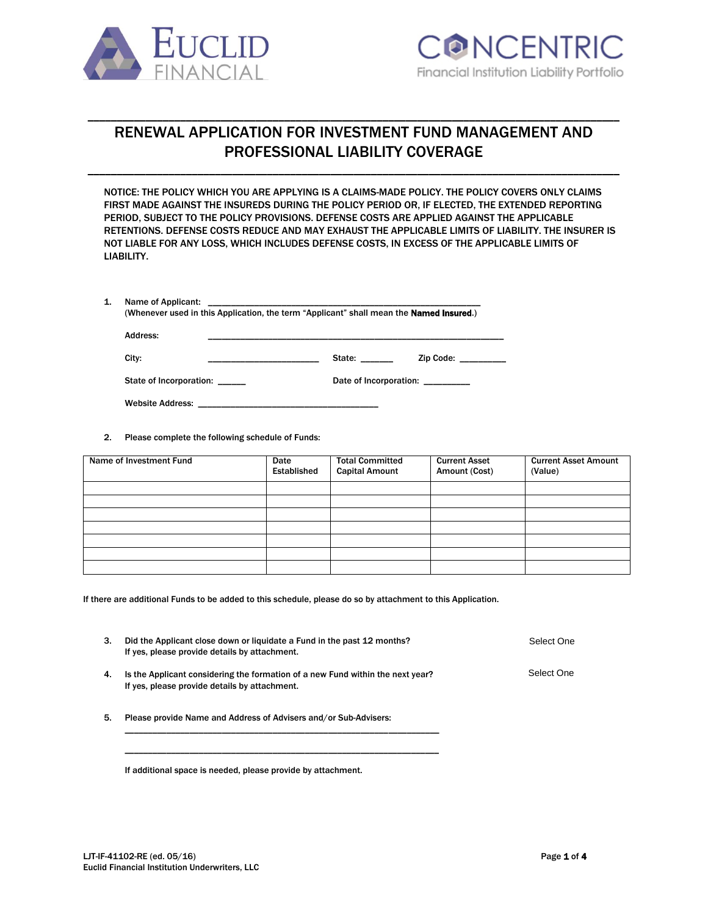



# RENEWAL APPLICATION FOR INVESTMENT FUND MANAGEMENT AND PROFESSIONAL LIABILITY COVERAGE

\_\_\_\_\_\_\_\_\_\_\_\_\_\_\_\_\_\_\_\_\_\_\_\_\_\_\_\_\_\_\_\_\_\_\_\_\_\_\_\_\_\_\_\_\_\_\_\_\_\_\_\_\_\_\_\_\_\_\_\_\_\_\_\_\_\_\_\_\_\_\_\_\_\_\_\_\_\_\_\_\_\_\_\_\_\_\_\_\_\_\_\_

\_\_\_\_\_\_\_\_\_\_\_\_\_\_\_\_\_\_\_\_\_\_\_\_\_\_\_\_\_\_\_\_\_\_\_\_\_\_\_\_\_\_\_\_\_\_\_\_\_\_\_\_\_\_\_\_\_\_\_\_\_\_\_\_\_\_\_\_\_\_\_\_\_\_\_\_\_\_\_\_\_\_\_\_\_\_\_\_\_\_\_\_

NOTICE: THE POLICY WHICH YOU ARE APPLYING IS A CLAIMS-MADE POLICY. THE POLICY COVERS ONLY CLAIMS FIRST MADE AGAINST THE INSUREDS DURING THE POLICY PERIOD OR, IF ELECTED, THE EXTENDED REPORTING PERIOD, SUBJECT TO THE POLICY PROVISIONS. DEFENSE COSTS ARE APPLIED AGAINST THE APPLICABLE RETENTIONS. DEFENSE COSTS REDUCE AND MAY EXHAUST THE APPLICABLE LIMITS OF LIABILITY. THE INSURER IS NOT LIABLE FOR ANY LOSS, WHICH INCLUDES DEFENSE COSTS, IN EXCESS OF THE APPLICABLE LIMITS OF LIABILITY.

| Name of Applicant:                                                                              |  |
|-------------------------------------------------------------------------------------------------|--|
| (Whenever used in this Application, the term "Applicant" shall mean the <b>Named Insured.</b> ) |  |
|                                                                                                 |  |

| Address:                |                        |  |  |
|-------------------------|------------------------|--|--|
| City:                   | State:<br>Zip Code:    |  |  |
| State of Incorporation: | Date of Incorporation: |  |  |
| <b>Website Address:</b> |                        |  |  |

2. Please complete the following schedule of Funds:

| Name of Investment Fund | Date<br>Established | <b>Total Committed</b><br><b>Capital Amount</b> | <b>Current Asset</b><br>Amount (Cost) | <b>Current Asset Amount</b><br>(Value) |
|-------------------------|---------------------|-------------------------------------------------|---------------------------------------|----------------------------------------|
|                         |                     |                                                 |                                       |                                        |
|                         |                     |                                                 |                                       |                                        |
|                         |                     |                                                 |                                       |                                        |
|                         |                     |                                                 |                                       |                                        |
|                         |                     |                                                 |                                       |                                        |
|                         |                     |                                                 |                                       |                                        |
|                         |                     |                                                 |                                       |                                        |

If there are additional Funds to be added to this schedule, please do so by attachment to this Application.

|    | Did the Applicant close down or liquidate a Fund in the past 12 months?<br>If yes, please provide details by attachment.        | Select One |
|----|---------------------------------------------------------------------------------------------------------------------------------|------------|
| 4. | Is the Applicant considering the formation of a new Fund within the next year?<br>If yes, please provide details by attachment. | Select One |

5. Please provide Name and Address of Advisers and/or Sub-Advisers:

\_\_\_\_\_\_\_\_\_\_\_\_\_\_\_\_\_\_\_\_\_\_\_\_\_\_\_\_\_\_\_\_\_\_\_\_\_\_\_\_\_\_\_\_\_\_\_\_\_\_\_\_\_\_\_\_\_\_\_\_\_\_\_\_\_\_\_\_ \_\_\_\_\_\_\_\_\_\_\_\_\_\_\_\_\_\_\_\_\_\_\_\_\_\_\_\_\_\_\_\_\_\_\_\_\_\_\_\_\_\_\_\_\_\_\_\_\_\_\_\_\_\_\_\_\_\_\_\_\_\_\_\_\_\_\_\_

If additional space is needed, please provide by attachment.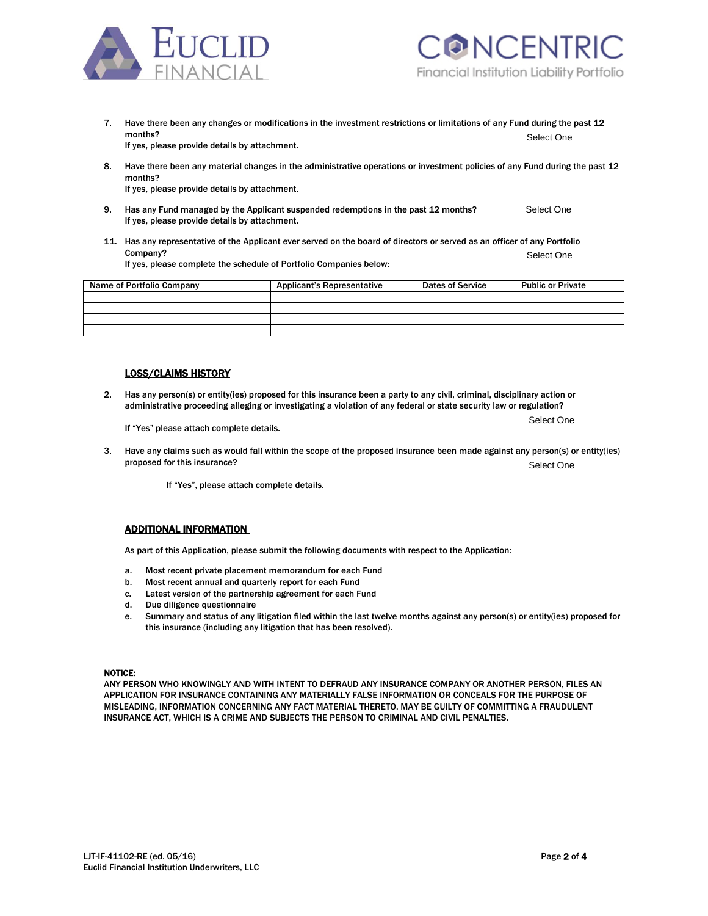



7. Have there been any changes or modifications in the investment restrictions or limitations of any Fund during the past 12 months? Select the contract of the contract of the contract of the contract of the contract of the contract of the contract of the contract of the contract of the contract of the contract of the contract of the contract of If yes, please provide details by attachment. Select One

8. Have there been any material changes in the administrative operations or investment policies of any Fund during the past 12 months?

If yes, please provide details by attachment.

- 9. Has any Fund managed by the Applicant suspended redemptions in the past 12 months? If yes, please provide details by attachment. Select One
- 11. Has any representative of the Applicant ever served on the board of directors or served as an officer of any Portfolio Company? Select the Company of the Company of the Company of the Company of the Company of the Company of the Company of the Company of the Company of the Company of the Company of the Company of the Company of the Company If yes, please complete the schedule of Portfolio Companies below: Select One

| Name of Portfolio Company | <b>Applicant's Representative</b> | <b>Dates of Service</b> | <b>Public or Private</b> |
|---------------------------|-----------------------------------|-------------------------|--------------------------|
|                           |                                   |                         |                          |
|                           |                                   |                         |                          |
|                           |                                   |                         |                          |
|                           |                                   |                         |                          |

## LOSS/CLAIMS HISTORY

2. Has any person(s) or entity(ies) proposed for this insurance been a party to any civil, criminal, disciplinary action or administrative proceeding alleging or investigating a violation of any federal or state security law or regulation?

If "Yes" please attach complete details.

3. Have any claims such as would fall within the scope of the proposed insurance been made against any person(s) or entity(ies) proposed for this insurance? Select One

If "Yes", please attach complete details.

### ADDITIONAL INFORMATION

As part of this Application, please submit the following documents with respect to the Application:

- a. Most recent private placement memorandum for each Fund
- b. Most recent annual and quarterly report for each Fund
- c. Latest version of the partnership agreement for each Fund
- d. Due diligence questionnaire
- e. Summary and status of any litigation filed within the last twelve months against any person(s) or entity(ies) proposed for this insurance (including any litigation that has been resolved).

## NOTICE:

ANY PERSON WHO KNOWINGLY AND WITH INTENT TO DEFRAUD ANY INSURANCE COMPANY OR ANOTHER PERSON, FILES AN APPLICATION FOR INSURANCE CONTAINING ANY MATERIALLY FALSE INFORMATION OR CONCEALS FOR THE PURPOSE OF MISLEADING, INFORMATION CONCERNING ANY FACT MATERIAL THERETO, MAY BE GUILTY OF COMMITTING A FRAUDULENT INSURANCE ACT, WHICH IS A CRIME AND SUBJECTS THE PERSON TO CRIMINAL AND CIVIL PENALTIES.

Select One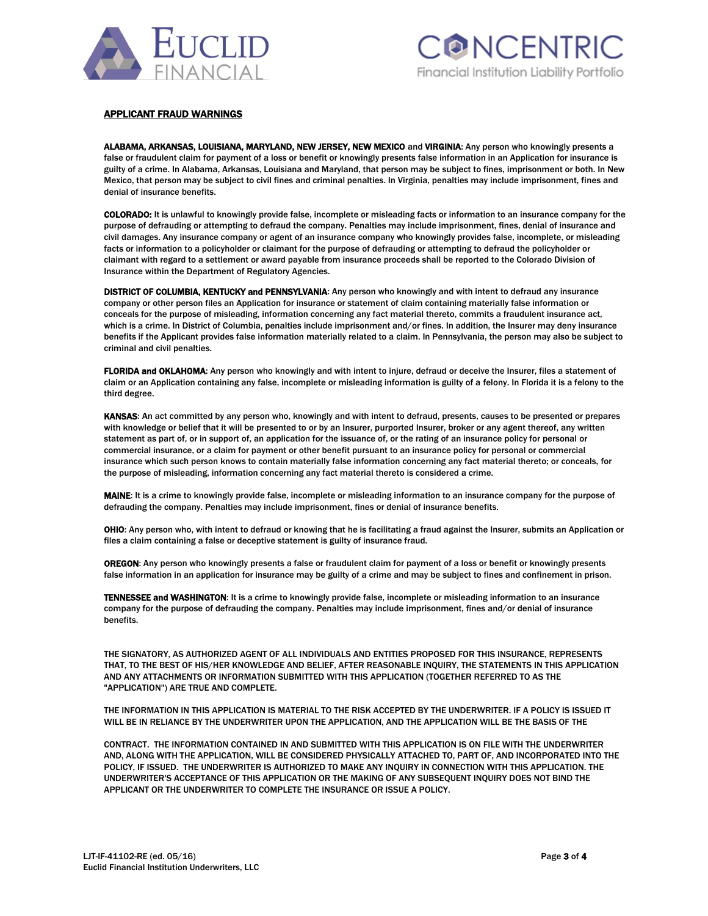



# APPLICANT FRAUD WARNINGS

ALABAMA, ARKANSAS, LOUISIANA, MARYLAND, NEW JERSEY, NEW MEXICO and VIRGINIA: Any person who knowingly presents a false or fraudulent claim for payment of a loss or benefit or knowingly presents false information in an Application for insurance is guilty of a crime. In Alabama, Arkansas, Louisiana and Maryland, that person may be subject to fines, imprisonment or both. In New Mexico, that person may be subject to civil fines and criminal penalties. In Virginia, penalties may include imprisonment, fines and denial of insurance benefits.

COLORADO: It is unlawful to knowingly provide false, incomplete or misleading facts or information to an insurance company for the purpose of defrauding or attempting to defraud the company. Penalties may include imprisonment, fines, denial of insurance and civil damages. Any insurance company or agent of an insurance company who knowingly provides false, incomplete, or misleading facts or information to a policyholder or claimant for the purpose of defrauding or attempting to defraud the policyholder or claimant with regard to a settlement or award payable from insurance proceeds shall be reported to the Colorado Division of Insurance within the Department of Regulatory Agencies.

DISTRICT OF COLUMBIA, KENTUCKY and PENNSYLVANIA: Any person who knowingly and with intent to defraud any insurance company or other person files an Application for insurance or statement of claim containing materially false information or conceals for the purpose of misleading, information concerning any fact material thereto, commits a fraudulent insurance act, which is a crime. In District of Columbia, penalties include imprisonment and/or fines. In addition, the Insurer may deny insurance benefits if the Applicant provides false information materially related to a claim. In Pennsylvania, the person may also be subject to criminal and civil penalties.

FLORIDA and OKLAHOMA: Any person who knowingly and with intent to injure, defraud or deceive the Insurer, files a statement of claim or an Application containing any false, incomplete or misleading information is guilty of a felony. In Florida it is a felony to the third degree.

KANSAS: An act committed by any person who, knowingly and with intent to defraud, presents, causes to be presented or prepares with knowledge or belief that it will be presented to or by an Insurer, purported Insurer, broker or any agent thereof, any written statement as part of, or in support of, an application for the issuance of, or the rating of an insurance policy for personal or commercial insurance, or a claim for payment or other benefit pursuant to an insurance policy for personal or commercial insurance which such person knows to contain materially false information concerning any fact material thereto; or conceals, for the purpose of misleading, information concerning any fact material thereto is considered a crime.

MAINE: It is a crime to knowingly provide false, incomplete or misleading information to an insurance company for the purpose of defrauding the company. Penalties may include imprisonment, fines or denial of insurance benefits.

OHIO: Any person who, with intent to defraud or knowing that he is facilitating a fraud against the Insurer, submits an Application or files a claim containing a false or deceptive statement is guilty of insurance fraud.

OREGON: Any person who knowingly presents a false or fraudulent claim for payment of a loss or benefit or knowingly presents false information in an application for insurance may be guilty of a crime and may be subject to fines and confinement in prison.

TENNESSEE and WASHINGTON: It is a crime to knowingly provide false, incomplete or misleading information to an insurance company for the purpose of defrauding the company. Penalties may include imprisonment, fines and/or denial of insurance benefits.

THE SIGNATORY, AS AUTHORIZED AGENT OF ALL INDIVIDUALS AND ENTITIES PROPOSED FOR THIS INSURANCE, REPRESENTS THAT, TO THE BEST OF HIS/HER KNOWLEDGE AND BELIEF, AFTER REASONABLE INQUIRY, THE STATEMENTS IN THIS APPLICATION AND ANY ATTACHMENTS OR INFORMATION SUBMITTED WITH THIS APPLICATION (TOGETHER REFERRED TO AS THE "APPLICATION") ARE TRUE AND COMPLETE.

THE INFORMATION IN THIS APPLICATION IS MATERIAL TO THE RISK ACCEPTED BY THE UNDERWRITER. IF A POLICY IS ISSUED IT WILL BE IN RELIANCE BY THE UNDERWRITER UPON THE APPLICATION, AND THE APPLICATION WILL BE THE BASIS OF THE

CONTRACT. THE INFORMATION CONTAINED IN AND SUBMITTED WITH THIS APPLICATION IS ON FILE WITH THE UNDERWRITER AND, ALONG WITH THE APPLICATION, WILL BE CONSIDERED PHYSICALLY ATTACHED TO, PART OF, AND INCORPORATED INTO THE POLICY, IF ISSUED. THE UNDERWRITER IS AUTHORIZED TO MAKE ANY INQUIRY IN CONNECTION WITH THIS APPLICATION. THE UNDERWRITER'S ACCEPTANCE OF THIS APPLICATION OR THE MAKING OF ANY SUBSEQUENT INQUIRY DOES NOT BIND THE APPLICANT OR THE UNDERWRITER TO COMPLETE THE INSURANCE OR ISSUE A POLICY.